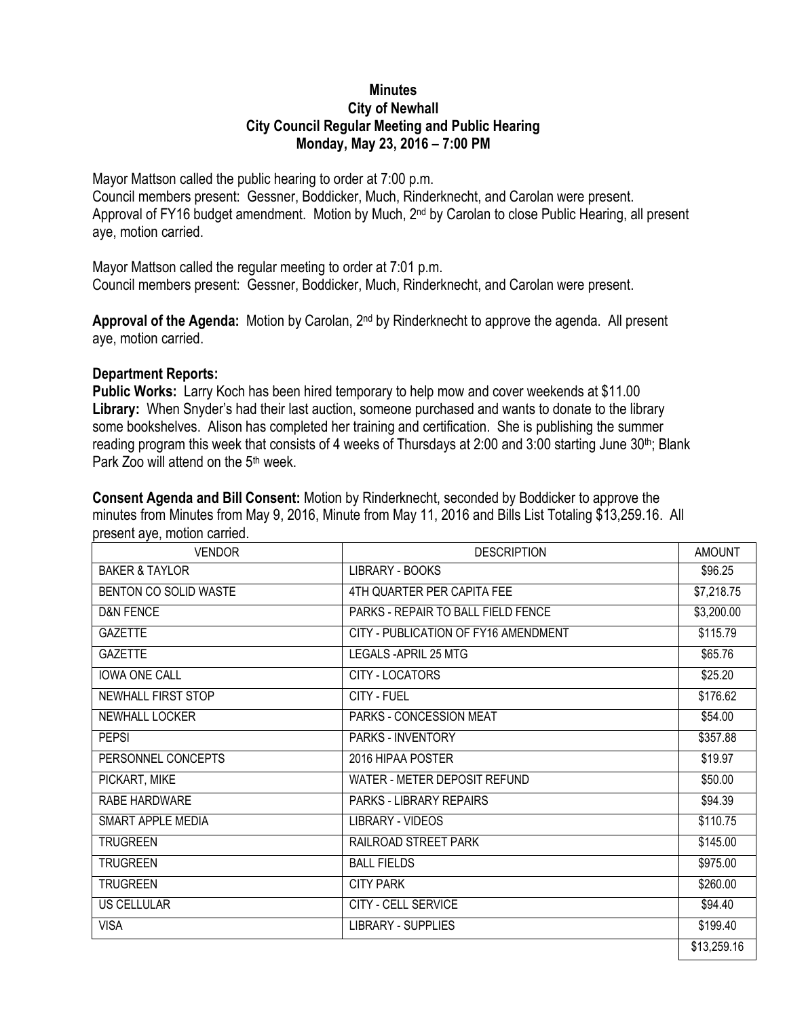## **Minutes City of Newhall City Council Regular Meeting and Public Hearing Monday, May 23, 2016 – 7:00 PM**

Mayor Mattson called the public hearing to order at 7:00 p.m.

Council members present: Gessner, Boddicker, Much, Rinderknecht, and Carolan were present. Approval of FY16 budget amendment. Motion by Much, 2<sup>nd</sup> by Carolan to close Public Hearing, all present aye, motion carried.

Mayor Mattson called the regular meeting to order at 7:01 p.m. Council members present: Gessner, Boddicker, Much, Rinderknecht, and Carolan were present.

**Approval of the Agenda:** Motion by Carolan, 2nd by Rinderknecht to approve the agenda. All present aye, motion carried.

## **Department Reports:**

**Public Works:** Larry Koch has been hired temporary to help mow and cover weekends at \$11.00 **Library:** When Snyder's had their last auction, someone purchased and wants to donate to the library some bookshelves. Alison has completed her training and certification. She is publishing the summer reading program this week that consists of 4 weeks of Thursdays at 2:00 and 3:00 starting June 30<sup>th</sup>; Blank Park Zoo will attend on the 5<sup>th</sup> week.

**Consent Agenda and Bill Consent:** Motion by Rinderknecht, seconded by Boddicker to approve the minutes from Minutes from May 9, 2016, Minute from May 11, 2016 and Bills List Totaling \$13,259.16. All present aye, motion carried.

| <b>VENDOR</b>         | <b>DESCRIPTION</b>                   | <b>AMOUNT</b> |
|-----------------------|--------------------------------------|---------------|
| BAKER & TAYLOR        | LIBRARY - BOOKS                      | \$96.25       |
| BENTON CO SOLID WASTE | 4TH QUARTER PER CAPITA FEE           | \$7,218.75    |
| <b>D&amp;N FENCE</b>  | PARKS - REPAIR TO BALL FIELD FENCE   | \$3,200.00    |
| <b>GAZETTE</b>        | CITY - PUBLICATION OF FY16 AMENDMENT | \$115.79      |
| <b>GAZETTE</b>        | LEGALS-APRIL 25 MTG                  | \$65.76       |
| <b>IOWA ONE CALL</b>  | CITY - LOCATORS                      | \$25.20       |
| NEWHALL FIRST STOP    | CITY - FUEL                          | \$176.62      |
| <b>NEWHALL LOCKER</b> | PARKS - CONCESSION MEAT              | \$54.00       |
| <b>PEPSI</b>          | <b>PARKS - INVENTORY</b>             | \$357.88      |
| PERSONNEL CONCEPTS    | 2016 HIPAA POSTER                    | \$19.97       |
| PICKART, MIKE         | WATER - METER DEPOSIT REFUND         | \$50.00       |
| RABE HARDWARE         | <b>PARKS - LIBRARY REPAIRS</b>       | \$94.39       |
| SMART APPLE MEDIA     | <b>LIBRARY - VIDEOS</b>              | \$110.75      |
| <b>TRUGREEN</b>       | RAILROAD STREET PARK                 | \$145.00      |
| <b>TRUGREEN</b>       | <b>BALL FIELDS</b>                   | \$975.00      |
| <b>TRUGREEN</b>       | <b>CITY PARK</b>                     | \$260.00      |
| <b>US CELLULAR</b>    | CITY - CELL SERVICE                  | \$94.40       |
| <b>VISA</b>           | <b>LIBRARY - SUPPLIES</b>            | \$199.40      |
|                       |                                      | \$13,259.16   |